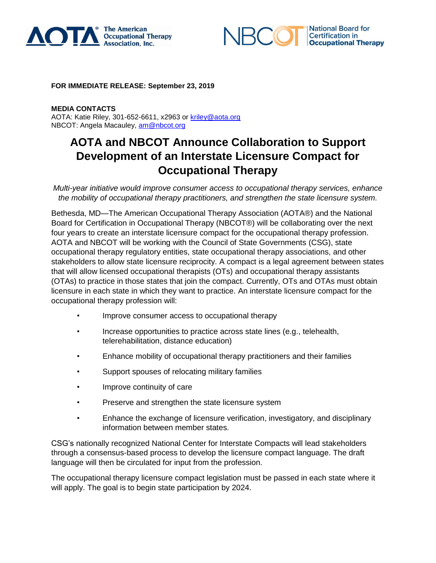



## **FOR IMMEDIATE RELEASE: September 23, 2019**

**MEDIA CONTACTS** AOTA: Katie Riley, 301-652-6611, x2963 or [kriley@aota.org](mailto:kriley@aota.org) NBCOT: Angela Macauley, [am@nbcot.org](mailto:am@nbcot.org)

## **AOTA and NBCOT Announce Collaboration to Support Development of an Interstate Licensure Compact for Occupational Therapy**

*Multi-year initiative would improve consumer access to occupational therapy services, enhance the mobility of occupational therapy practitioners, and strengthen the state licensure system.*

Bethesda, MD—The American Occupational Therapy Association (AOTA®) and the National Board for Certification in Occupational Therapy (NBCOT®) will be collaborating over the next four years to create an interstate licensure compact for the occupational therapy profession. AOTA and NBCOT will be working with the Council of State Governments (CSG), state occupational therapy regulatory entities, state occupational therapy associations, and other stakeholders to allow state licensure reciprocity. A compact is a legal agreement between states that will allow licensed occupational therapists (OTs) and occupational therapy assistants (OTAs) to practice in those states that join the compact. Currently, OTs and OTAs must obtain licensure in each state in which they want to practice. An interstate licensure compact for the occupational therapy profession will:

- Improve consumer access to occupational therapy
- Increase opportunities to practice across state lines (e.g., telehealth, telerehabilitation, distance education)
- Enhance mobility of occupational therapy practitioners and their families
- Support spouses of relocating military families
- Improve continuity of care
- Preserve and strengthen the state licensure system
- Enhance the exchange of licensure verification, investigatory, and disciplinary information between member states.

CSG's nationally recognized National Center for Interstate Compacts will lead stakeholders through a consensus-based process to develop the licensure compact language. The draft language will then be circulated for input from the profession.

The occupational therapy licensure compact legislation must be passed in each state where it will apply. The goal is to begin state participation by 2024.